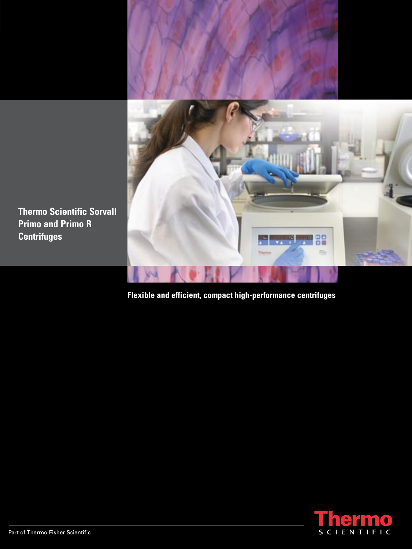

**Thermo Scientific Sorvall Primo and Primo R Centrifuges**

**Flexible and efficient, compact high-performance centrifuges**

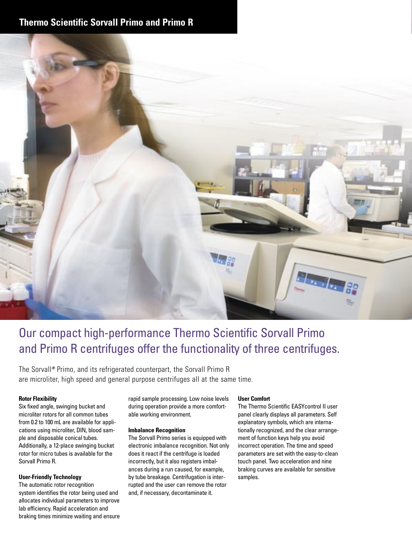# **Thermo Scientific Sorvall Primo and Primo R**



# Our compact high-performance Thermo Scientific Sorvall Primo and Primo R centrifuges offer the functionality of three centrifuges.

The Sorvall**®** Primo, and its refrigerated counterpart, the Sorvall Primo R are microliter, high speed and general purpose centrifuges all at the same time.

#### **Rotor Flexibility**

Six fixed angle, swinging bucket and microliter rotors for all common tubes from 0.2 to 100 mL are available for applications using microliter, DIN, blood sample and disposable conical tubes. Additionally, a 12-place swinging bucket rotor for micro tubes is available for the Sorvall Primo R.

#### **User-Friendly Technology**

The automatic rotor recognition system identifies the rotor being used and allocates individual parameters to improve lab efficiency. Rapid acceleration and braking times minimize waiting and ensure rapid sample processing. Low noise levels during operation provide a more comfortable working environment.

#### **Imbalance Recognition**

The Sorvall Primo series is equipped with electronic imbalance recognition. Not only does it react if the centrifuge is loaded incorrectly, but it also registers imbalances during a run caused, for example, by tube breakage. Centrifugation is interrupted and the user can remove the rotor and, if necessary, decontaminate it.

#### **User Comfort**

The Thermo Scientific EASYcontrol II user panel clearly displays all parameters. Self explanatory symbols, which are internationally recognized, and the clear arrangement of function keys help you avoid incorrect operation. The time and speed parameters are set with the easy-to-clean touch panel. Two acceleration and nine braking curves are available for sensitive samples.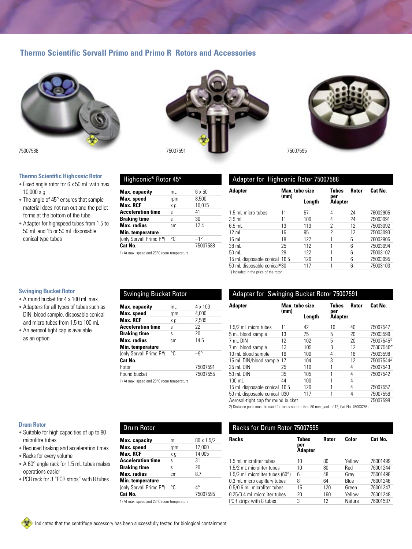## **Thermo Scientific Sorvall Primo and Primo R Rotors and Accessories**

Highconic**®** Rotor 45°

**Max. RCF**  $x g$ 

**Max. radius** cm **Min. temperature**

**Max. capacity** mL 6 x 50 **Max. speed** rpm 8,500<br>**Max. RCF** x q 10.015

**Acceleration time** s 41<br>**Braking time** s 30 **Braking time** s 30<br> **Max. radius** cm 12.4

(only Sorvall Primo R<sup>*n*</sup>) °C  $-1$ °<br>**Cat No.** 750

1) At max. speed and 23°C room temperature

Swinging Bucket Rotor

**Max. RCF**  $x g$ 

**Braking time** s

**Min. temperature**

**Cat No.**

Round bucket

**Max. speed** rpm 4,000<br>**Max. RCF** x g 2,585

**Acceleration time** s 22<br>**Braking time** s 20

**Max. radius** cm 14.5

(only Sorvall Primo R<sup>1</sup>) °C -9°

1) At max. speed and 23°C room temperature



#### **Thermo Scientific Highconic Rotor**

- Fixed angle rotor for 6 x 50 mL with max. 10,000 x g
- The angle of 45° ensures that sample material does not run out and the pellet forms at the bottom of the tube
- Adapter for highspeed tubes from 1.5 to 50 mL and 15 or 50 mL disposable conical type tubes



**Cat No.** 75007588



## Adapter for Highconic Rotor 75007588

| <b>Adapter</b>                        | Max. tube size<br>(mm) |        | Tubes<br>per   | <b>Rotor</b> | Cat No.  |
|---------------------------------------|------------------------|--------|----------------|--------------|----------|
|                                       |                        | Length | <b>Adapter</b> |              |          |
| 1.5 mL micro tubes                    | 11                     | 57     | 4              | 24           | 76002905 |
| $3.5$ mL                              | 11                     | 100    | 4              | 24           | 75003091 |
| $6.5$ mL                              | 13                     | 113    | 2              | 12           | 75003092 |
| $12 \text{ mL}$                       | 16                     | 95     | 2              | 12           | 75003093 |
| $16 \text{ mL}$                       | 18                     | 122    |                | 6            | 76002906 |
| 38 mL                                 | 25                     | 112    |                | 6            | 75003094 |
| 50 mL                                 | 29                     | 122    |                | 6            | 75003102 |
| 15 mL disposable conical 16.5         |                        | 120    |                | 6            | 75003095 |
| 50 mL disposable conical"30           |                        | 117    |                | 6            | 75003103 |
| 1) Included in the price of the rotor |                        |        |                |              |          |

#### **Max. capacity** mL 4 x 100<br>**Max. speed** rpm 4,000 Rotor 75007591<br>Round bucket 75007555 Adapter for Swinging Bucket Rotor 75007591 **Adapter Max. tube size Tubes Rotor Cat No.** (mm)<br>Length **Adapter** 1.5/2 mL micro tubes 11 42 10 40 75007547 5 mL blood sample 13 75 5 20 75003599 12 102 5 20 75007545<sup>2</sup><br>13 105 3 12 75007546<sup>2</sup> 7 mL blood sample 13 105 3 12 75007546**2)** 10 mL blood sample 16 100 4 16 75003598<br>15 mL DIN/blood sample 17 104 3 12 75007544<sup>2</sup> 15 mL DIN/blood sample 17 25 mL DIN 25 110 1 4 75007543<br>50 mL DIN 35 105 1 4 75007542 50 mL DIN 35 105 1 4 75007542 100 mL 44 100 1 4 – 15 mL disposable conical 16.5 120 1 4 75007557<br>50 mL disposable conical 030 117 1 4 75007556

50 mL disposable conical 030 117 1 Aerosol-tight cap for round bucket 75007598

2) Distance pads must be used for tubes shorter than 80 mm (pack of 12, Cat No. 76003266)

## **Drum Rotor**

- Suitable for high capacities of up to 80 microlitre tubes
- Reduced braking and acceleration times
- Racks for every volume
- A 60° angle rack for 1.5 mL tubes makes operations easier
- PCR rack for 3 "PCR strips" with 8 tubes

# Drum Rotor

| Max. capacity                              | mL  | 80 x 1.5/2 |
|--------------------------------------------|-----|------------|
| Max. speed                                 | rpm | 12,000     |
| Max. RCF                                   | хg  | 14,005     |
| <b>Acceleration time</b>                   | S   | 31         |
| <b>Braking time</b>                        | S   | 20         |
| Max. radius                                | cm. | 8.7        |
| Min. temperature                           |     |            |
| (only Sorvall Primo R")                    | °C  | 4°         |
| Cat No.                                    |     | 75007595   |
| 1) At max. speed and 23°C room temperature |     |            |

| Racks for Drum Rotor 75007595              |                                       |       |        |          |
|--------------------------------------------|---------------------------------------|-------|--------|----------|
| <b>Racks</b>                               | <b>Tubes</b><br>per<br><b>Adapter</b> | Rotor | Color  | Cat No.  |
| 1.5 mL microliter tubes                    | 10                                    | 80    | Yellow | 76001499 |
| 1.5/2 mL microliter tubes                  | 10                                    | 80    | Red    | 76001244 |
| 1.5/2 mL microliter tubes (60 $^{\circ}$ ) | հ                                     | 48    | Gray   | 75001498 |
| 0.3 mL micro capillary tubes               | 8                                     | 64    | Blue   | 76001246 |
| 0.5/0.6 mL microliter tubes                | 15                                    | 120   | Green  | 76001247 |
| 0.25/0.4 mL microliter tubes               | 20                                    | 160   | Yellow | 76001248 |
| PCR strips with 8 tubes                    | 3                                     | 12    | Nature | 76001587 |

# **Swinging Bucket Rotor**

- A round bucket for 4 x 100 mL max
- Adapters for all types of tubes such as DIN, blood sample, disposable conical and micro tubes from 1.5 to 100 mL
- An aerosol tight cap is available as an option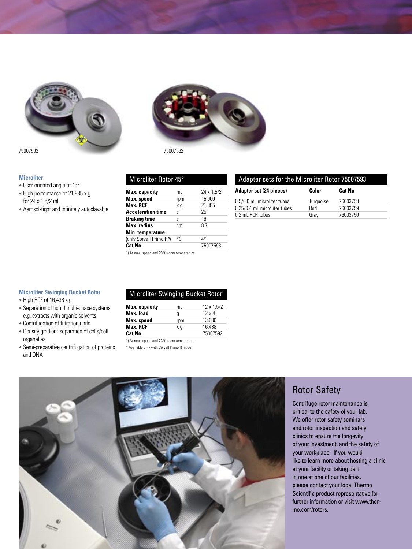



#### **Microliter**

- User-oriented angle of 45°
- High performance of 21,885 x g for 24 x 1.5/2 mL
- Aerosol-tight and infinitely autoclavable

| Microliter Rotor 45° |  |  |
|----------------------|--|--|
|                      |  |  |

| <b>Max.</b> capacity                       | mL  | 24 x 1.5/2 |
|--------------------------------------------|-----|------------|
| Max. speed                                 | rpm | 15,000     |
| Max. RCF                                   | хg  | 21,885     |
| <b>Acceleration time</b>                   | S   | 25         |
| <b>Braking time</b>                        | S   | 18         |
| Max. radius                                | cm  | 87         |
| Min. temperature                           |     |            |
| (only Sorvall Primo R")                    | °C  | 4°         |
| Cat No.                                    |     | 75007593   |
| 1) At max, speed and 23°C room temperature |     |            |

## Adapter sets for the Microliter Rotor 75007593

| <b>Adapter set (24 pieces)</b> | Color     | Cat No.  |
|--------------------------------|-----------|----------|
| 0.5/0.6 mL microliter tubes    | Turquoise | 76003758 |
| 0.25/0.4 mL microliter tubes   | Red       | 76003759 |
| 0.2 mL PCR tubes               | Grav      | 76003750 |

#### **Microliter Swinging Bucket Rotor**

- High RCF of 16,438 x g
- Separation of liquid multi-phase systems, e.g. extracts with organic solvents
- Centrifugation of filtration units
- Density gradient-separation of cells/cell organelles
- Semi-preparative centrifugation of proteins and DNA

### Microliter Swinging Bucket Rotor**\***

| Max. capacity | mL  | $12 \times 1.5/2$ |
|---------------|-----|-------------------|
| Max. Ioad     | g   | $12 \times 4$     |
| Max. speed    | rpm | 13,000            |
| Max. RCF      | хq  | 16.438            |
| Cat No.       |     | 75007592          |

1) At max. speed and 23°C room temperature

\* Available only with Sorvall Primo R model



# Rotor Safety

Centrifuge rotor maintenance is critical to the safety of your lab. We offer rotor safety seminars and rotor inspection and safety clinics to ensure the longevity of your investment, and the safety of your workplace. If you would like to learn more about hosting a clinic at your facility or taking part in one at one of our facilities, please contact your local Thermo Scientific product representative for further information or visit www.thermo.com/rotors.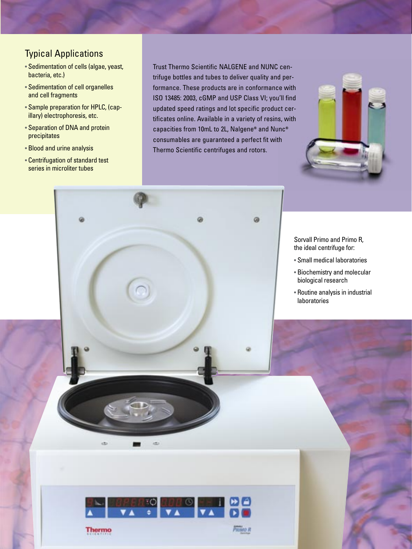# Typical Applications

- Sedimentation of cells (algae, yeast, bacteria, etc.)
- Sedimentation of cell organelles and cell fragments
- Sample preparation for HPLC, (capillary) electrophoresis, etc.
- Separation of DNA and protein precipitates
- Blood and urine analysis
- Centrifugation of standard test series in microliter tubes

Trust Thermo Scientific NALGENE and NUNC centrifuge bottles and tubes to deliver quality and performance. These products are in conformance with ISO 13485: 2003, cGMP and USP Class VI; you'll find updated speed ratings and lot specific product certificates online. Available in a variety of resins, with capacities from 10mL to 2L, Nalgene**®** and Nunc**®** consumables are guaranteed a perfect fit with Thermo Scientific centrifuges and rotors.

ø

**PRIMO R** 

ā



Sorvall Primo and Primo R, the ideal centrifuge for:

- Small medical laboratories
- Biochemistry and molecular biological research
- Routine analysis in industrial laboratories



œ

im